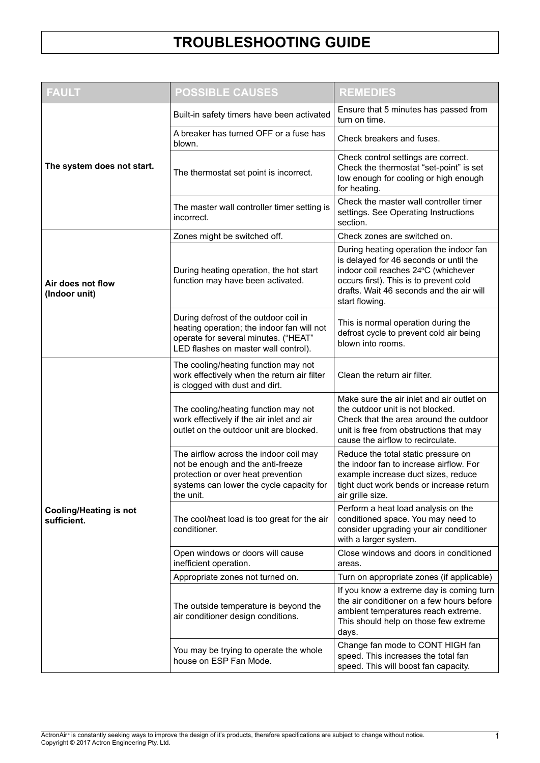| <b>FAULT</b>                                 | <b>POSSIBLE CAUSES</b>                                                                                                                                                     | <b>REMEDIES</b>                                                                                                                                                                                                                  |
|----------------------------------------------|----------------------------------------------------------------------------------------------------------------------------------------------------------------------------|----------------------------------------------------------------------------------------------------------------------------------------------------------------------------------------------------------------------------------|
|                                              | Built-in safety timers have been activated                                                                                                                                 | Ensure that 5 minutes has passed from<br>turn on time.                                                                                                                                                                           |
| The system does not start.                   | A breaker has turned OFF or a fuse has<br>blown.                                                                                                                           | Check breakers and fuses.                                                                                                                                                                                                        |
|                                              | The thermostat set point is incorrect.                                                                                                                                     | Check control settings are correct.<br>Check the thermostat "set-point" is set<br>low enough for cooling or high enough<br>for heating.                                                                                          |
|                                              | The master wall controller timer setting is<br>incorrect.                                                                                                                  | Check the master wall controller timer<br>settings. See Operating Instructions<br>section.                                                                                                                                       |
|                                              | Zones might be switched off.                                                                                                                                               | Check zones are switched on.                                                                                                                                                                                                     |
| Air does not flow<br>(Indoor unit)           | During heating operation, the hot start<br>function may have been activated.                                                                                               | During heating operation the indoor fan<br>is delayed for 46 seconds or until the<br>indoor coil reaches 24°C (whichever<br>occurs first). This is to prevent cold<br>drafts. Wait 46 seconds and the air will<br>start flowing. |
|                                              | During defrost of the outdoor coil in<br>heating operation; the indoor fan will not<br>operate for several minutes. ("HEAT"<br>LED flashes on master wall control).        | This is normal operation during the<br>defrost cycle to prevent cold air being<br>blown into rooms.                                                                                                                              |
| <b>Cooling/Heating is not</b><br>sufficient. | The cooling/heating function may not<br>work effectively when the return air filter<br>is clogged with dust and dirt.                                                      | Clean the return air filter.                                                                                                                                                                                                     |
|                                              | The cooling/heating function may not<br>work effectively if the air inlet and air<br>outlet on the outdoor unit are blocked.                                               | Make sure the air inlet and air outlet on<br>the outdoor unit is not blocked.<br>Check that the area around the outdoor<br>unit is free from obstructions that may<br>cause the airflow to recirculate.                          |
|                                              | The airflow across the indoor coil may<br>not be enough and the anti-freeze<br>protection or over heat prevention<br>systems can lower the cycle capacity for<br>the unit. | Reduce the total static pressure on<br>the indoor fan to increase airflow. For<br>example increase duct sizes, reduce<br>tight duct work bends or increase return<br>air grille size.                                            |
|                                              | The cool/heat load is too great for the air<br>conditioner.                                                                                                                | Perform a heat load analysis on the<br>conditioned space. You may need to<br>consider upgrading your air conditioner<br>with a larger system.                                                                                    |
|                                              | Open windows or doors will cause<br>inefficient operation.                                                                                                                 | Close windows and doors in conditioned<br>areas.                                                                                                                                                                                 |
|                                              | Appropriate zones not turned on.                                                                                                                                           | Turn on appropriate zones (if applicable)                                                                                                                                                                                        |
|                                              | The outside temperature is beyond the<br>air conditioner design conditions.                                                                                                | If you know a extreme day is coming turn<br>the air conditioner on a few hours before<br>ambient temperatures reach extreme.<br>This should help on those few extreme<br>days.                                                   |
|                                              | You may be trying to operate the whole<br>house on ESP Fan Mode.                                                                                                           | Change fan mode to CONT HIGH fan<br>speed. This increases the total fan<br>speed. This will boost fan capacity.                                                                                                                  |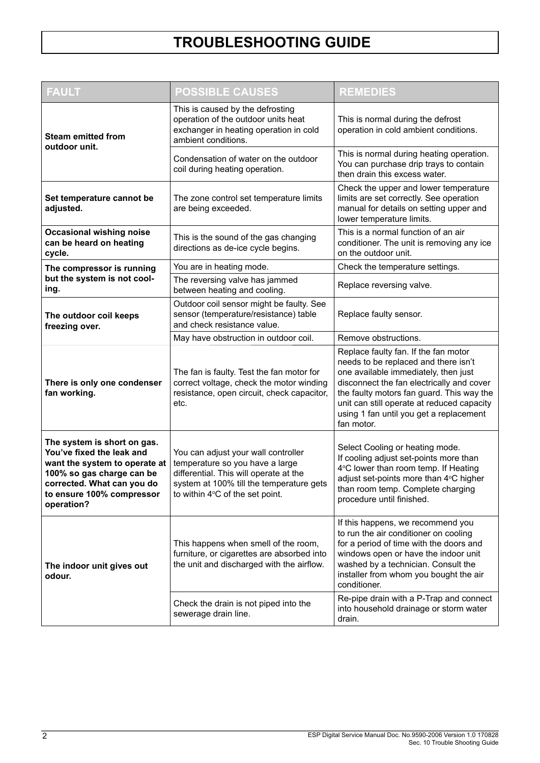| <b>FAULT</b>                                                                                                                                                                                    | <b>POSSIBLE CAUSES</b>                                                                                                                                                                          | <b>REMEDIES</b>                                                                                                                                                                                                                                                                                                       |
|-------------------------------------------------------------------------------------------------------------------------------------------------------------------------------------------------|-------------------------------------------------------------------------------------------------------------------------------------------------------------------------------------------------|-----------------------------------------------------------------------------------------------------------------------------------------------------------------------------------------------------------------------------------------------------------------------------------------------------------------------|
| <b>Steam emitted from</b><br>outdoor unit.                                                                                                                                                      | This is caused by the defrosting<br>operation of the outdoor units heat<br>exchanger in heating operation in cold<br>ambient conditions.                                                        | This is normal during the defrost<br>operation in cold ambient conditions.                                                                                                                                                                                                                                            |
|                                                                                                                                                                                                 | Condensation of water on the outdoor<br>coil during heating operation.                                                                                                                          | This is normal during heating operation.<br>You can purchase drip trays to contain<br>then drain this excess water.                                                                                                                                                                                                   |
| Set temperature cannot be<br>adjusted.                                                                                                                                                          | The zone control set temperature limits<br>are being exceeded.                                                                                                                                  | Check the upper and lower temperature<br>limits are set correctly. See operation<br>manual for details on setting upper and<br>lower temperature limits.                                                                                                                                                              |
| <b>Occasional wishing noise</b><br>can be heard on heating<br>cycle.                                                                                                                            | This is the sound of the gas changing<br>directions as de-ice cycle begins.                                                                                                                     | This is a normal function of an air<br>conditioner. The unit is removing any ice<br>on the outdoor unit.                                                                                                                                                                                                              |
| The compressor is running                                                                                                                                                                       | You are in heating mode.                                                                                                                                                                        | Check the temperature settings.                                                                                                                                                                                                                                                                                       |
| but the system is not cool-<br>ing.                                                                                                                                                             | The reversing valve has jammed<br>between heating and cooling.                                                                                                                                  | Replace reversing valve.                                                                                                                                                                                                                                                                                              |
| The outdoor coil keeps<br>freezing over.                                                                                                                                                        | Outdoor coil sensor might be faulty. See<br>sensor (temperature/resistance) table<br>and check resistance value.                                                                                | Replace faulty sensor.                                                                                                                                                                                                                                                                                                |
|                                                                                                                                                                                                 | May have obstruction in outdoor coil.                                                                                                                                                           | Remove obstructions.                                                                                                                                                                                                                                                                                                  |
| There is only one condenser<br>fan working.                                                                                                                                                     | The fan is faulty. Test the fan motor for<br>correct voltage, check the motor winding<br>resistance, open circuit, check capacitor,<br>etc.                                                     | Replace faulty fan. If the fan motor<br>needs to be replaced and there isn't<br>one available immediately, then just<br>disconnect the fan electrically and cover<br>the faulty motors fan guard. This way the<br>unit can still operate at reduced capacity<br>using 1 fan until you get a replacement<br>fan motor. |
| The system is short on gas.<br>You've fixed the leak and<br>want the system to operate at<br>100% so gas charge can be<br>corrected. What can you do<br>to ensure 100% compressor<br>operation? | You can adjust your wall controller<br>temperature so you have a large<br>differential. This will operate at the<br>system at 100% till the temperature gets<br>to within 4°C of the set point. | Select Cooling or heating mode.<br>If cooling adjust set-points more than<br>4°C lower than room temp. If Heating<br>adjust set-points more than 4°C higher<br>than room temp. Complete charging<br>procedure until finished.                                                                                         |
| The indoor unit gives out<br>odour.                                                                                                                                                             | This happens when smell of the room,<br>furniture, or cigarettes are absorbed into<br>the unit and discharged with the airflow.                                                                 | If this happens, we recommend you<br>to run the air conditioner on cooling<br>for a period of time with the doors and<br>windows open or have the indoor unit<br>washed by a technician. Consult the<br>installer from whom you bought the air<br>conditioner.                                                        |
|                                                                                                                                                                                                 | Check the drain is not piped into the<br>sewerage drain line.                                                                                                                                   | Re-pipe drain with a P-Trap and connect<br>into household drainage or storm water<br>drain.                                                                                                                                                                                                                           |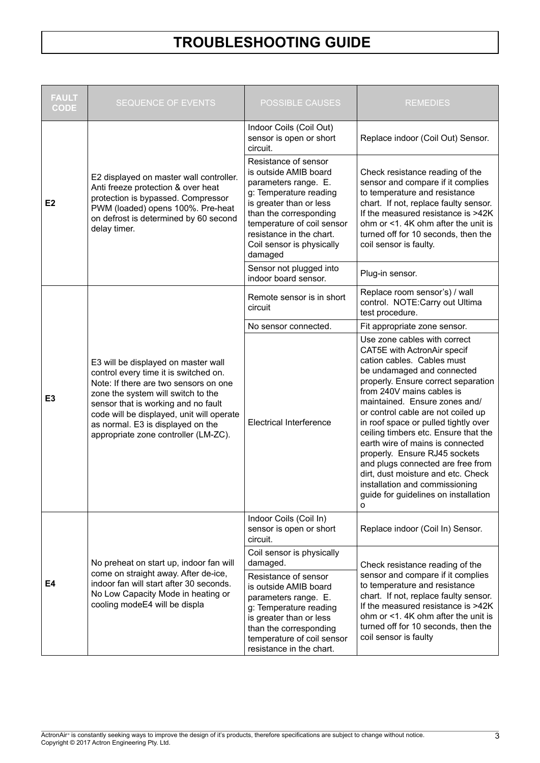| <b>FAULT</b><br><b>CODE</b> | SEQUENCE OF EVENTS                                                                                                                                                                                                                                                                                                           | <b>POSSIBLE CAUSES</b>                                                                                                                                                                                                                                 | <b>REMEDIES</b>                                                                                                                                                                                                                                                                                                                                                                                                                                                                                                                                                                   |  |
|-----------------------------|------------------------------------------------------------------------------------------------------------------------------------------------------------------------------------------------------------------------------------------------------------------------------------------------------------------------------|--------------------------------------------------------------------------------------------------------------------------------------------------------------------------------------------------------------------------------------------------------|-----------------------------------------------------------------------------------------------------------------------------------------------------------------------------------------------------------------------------------------------------------------------------------------------------------------------------------------------------------------------------------------------------------------------------------------------------------------------------------------------------------------------------------------------------------------------------------|--|
| E <sub>2</sub>              | E2 displayed on master wall controller.<br>Anti freeze protection & over heat<br>protection is bypassed. Compressor<br>PWM (loaded) opens 100%. Pre-heat<br>on defrost is determined by 60 second<br>delay timer.                                                                                                            | Indoor Coils (Coil Out)<br>sensor is open or short<br>circuit.                                                                                                                                                                                         | Replace indoor (Coil Out) Sensor.                                                                                                                                                                                                                                                                                                                                                                                                                                                                                                                                                 |  |
|                             |                                                                                                                                                                                                                                                                                                                              | Resistance of sensor<br>is outside AMIB board<br>parameters range. E.<br>g: Temperature reading<br>is greater than or less<br>than the corresponding<br>temperature of coil sensor<br>resistance in the chart.<br>Coil sensor is physically<br>damaged | Check resistance reading of the<br>sensor and compare if it complies<br>to temperature and resistance<br>chart. If not, replace faulty sensor.<br>If the measured resistance is >42K<br>ohm or <1.4K ohm after the unit is<br>turned off for 10 seconds, then the<br>coil sensor is faulty.                                                                                                                                                                                                                                                                                       |  |
|                             |                                                                                                                                                                                                                                                                                                                              | Sensor not plugged into<br>indoor board sensor.                                                                                                                                                                                                        | Plug-in sensor.                                                                                                                                                                                                                                                                                                                                                                                                                                                                                                                                                                   |  |
|                             |                                                                                                                                                                                                                                                                                                                              | Remote sensor is in short<br>circuit                                                                                                                                                                                                                   | Replace room sensor's) / wall<br>control. NOTE:Carry out Ultima<br>test procedure.                                                                                                                                                                                                                                                                                                                                                                                                                                                                                                |  |
|                             |                                                                                                                                                                                                                                                                                                                              | No sensor connected.                                                                                                                                                                                                                                   | Fit appropriate zone sensor.                                                                                                                                                                                                                                                                                                                                                                                                                                                                                                                                                      |  |
| E <sub>3</sub>              | E3 will be displayed on master wall<br>control every time it is switched on.<br>Note: If there are two sensors on one<br>zone the system will switch to the<br>sensor that is working and no fault<br>code will be displayed, unit will operate<br>as normal. E3 is displayed on the<br>appropriate zone controller (LM-ZC). | <b>Electrical Interference</b>                                                                                                                                                                                                                         | Use zone cables with correct<br>CAT5E with ActronAir specif<br>cation cables. Cables must<br>be undamaged and connected<br>properly. Ensure correct separation<br>from 240V mains cables is<br>maintained. Ensure zones and/<br>or control cable are not coiled up<br>in roof space or pulled tightly over<br>ceiling timbers etc. Ensure that the<br>earth wire of mains is connected<br>properly. Ensure RJ45 sockets<br>and plugs connected are free from<br>dirt, dust moisture and etc. Check<br>installation and commissioning<br>guide for guidelines on installation<br>o |  |
| E4                          |                                                                                                                                                                                                                                                                                                                              | Indoor Coils (Coil In)<br>sensor is open or short<br>circuit.                                                                                                                                                                                          | Replace indoor (Coil In) Sensor.                                                                                                                                                                                                                                                                                                                                                                                                                                                                                                                                                  |  |
|                             | No preheat on start up, indoor fan will                                                                                                                                                                                                                                                                                      | Coil sensor is physically<br>damaged.                                                                                                                                                                                                                  | Check resistance reading of the                                                                                                                                                                                                                                                                                                                                                                                                                                                                                                                                                   |  |
|                             | come on straight away. After de-ice,<br>indoor fan will start after 30 seconds.<br>No Low Capacity Mode in heating or<br>cooling modeE4 will be displa                                                                                                                                                                       | Resistance of sensor<br>is outside AMIB board<br>parameters range. E.<br>g: Temperature reading<br>is greater than or less<br>than the corresponding<br>temperature of coil sensor<br>resistance in the chart.                                         | sensor and compare if it complies<br>to temperature and resistance<br>chart. If not, replace faulty sensor.<br>If the measured resistance is >42K<br>ohm or <1.4K ohm after the unit is<br>turned off for 10 seconds, then the<br>coil sensor is faulty                                                                                                                                                                                                                                                                                                                           |  |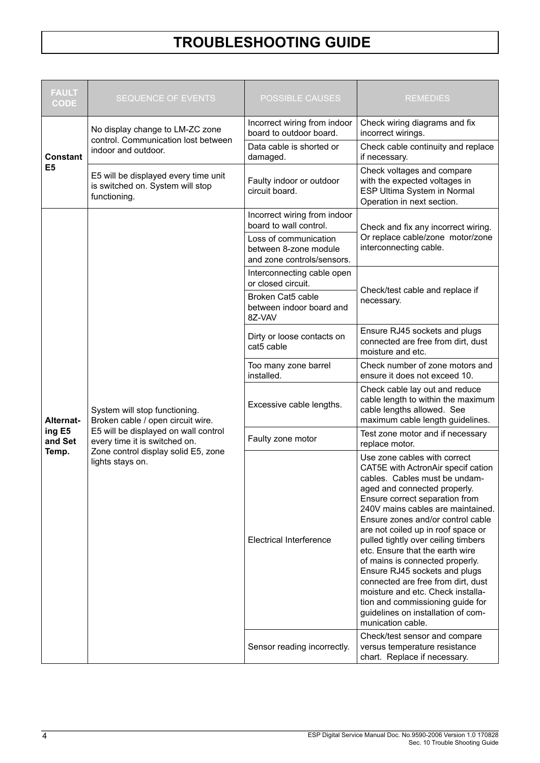| <b>FAULT</b><br><b>CODE</b> | <b>SEQUENCE OF EVENTS</b>                                                                                                                   | <b>POSSIBLE CAUSES</b>                                                       | <b>REMEDIES</b>                                                                                                                                                                                                                                                                                                                                                                                                                                                                                                                                                                                               |  |
|-----------------------------|---------------------------------------------------------------------------------------------------------------------------------------------|------------------------------------------------------------------------------|---------------------------------------------------------------------------------------------------------------------------------------------------------------------------------------------------------------------------------------------------------------------------------------------------------------------------------------------------------------------------------------------------------------------------------------------------------------------------------------------------------------------------------------------------------------------------------------------------------------|--|
|                             | No display change to LM-ZC zone                                                                                                             | Incorrect wiring from indoor<br>board to outdoor board.                      | Check wiring diagrams and fix<br>incorrect wirings.                                                                                                                                                                                                                                                                                                                                                                                                                                                                                                                                                           |  |
| <b>Constant</b>             | control. Communication lost between<br>indoor and outdoor.                                                                                  | Data cable is shorted or<br>damaged.                                         | Check cable continuity and replace<br>if necessary.                                                                                                                                                                                                                                                                                                                                                                                                                                                                                                                                                           |  |
| E <sub>5</sub>              | E5 will be displayed every time unit<br>is switched on. System will stop<br>functioning.                                                    | Faulty indoor or outdoor<br>circuit board.                                   | Check voltages and compare<br>with the expected voltages in<br>ESP Ultima System in Normal<br>Operation in next section.                                                                                                                                                                                                                                                                                                                                                                                                                                                                                      |  |
|                             |                                                                                                                                             | Incorrect wiring from indoor<br>board to wall control.                       | Check and fix any incorrect wiring.                                                                                                                                                                                                                                                                                                                                                                                                                                                                                                                                                                           |  |
|                             |                                                                                                                                             | Loss of communication<br>between 8-zone module<br>and zone controls/sensors. | Or replace cable/zone motor/zone<br>interconnecting cable.                                                                                                                                                                                                                                                                                                                                                                                                                                                                                                                                                    |  |
|                             |                                                                                                                                             | Interconnecting cable open<br>or closed circuit.                             |                                                                                                                                                                                                                                                                                                                                                                                                                                                                                                                                                                                                               |  |
|                             | System will stop functioning.<br>Broken cable / open circuit wire.<br>E5 will be displayed on wall control<br>every time it is switched on. | Broken Cat5 cable<br>between indoor board and<br>8Z-VAV                      | Check/test cable and replace if<br>necessary.                                                                                                                                                                                                                                                                                                                                                                                                                                                                                                                                                                 |  |
|                             |                                                                                                                                             | Dirty or loose contacts on<br>cat5 cable                                     | Ensure RJ45 sockets and plugs<br>connected are free from dirt, dust<br>moisture and etc.                                                                                                                                                                                                                                                                                                                                                                                                                                                                                                                      |  |
|                             |                                                                                                                                             | Too many zone barrel<br>installed.                                           | Check number of zone motors and<br>ensure it does not exceed 10.                                                                                                                                                                                                                                                                                                                                                                                                                                                                                                                                              |  |
| <b>Alternat-</b>            |                                                                                                                                             | Excessive cable lengths.                                                     | Check cable lay out and reduce<br>cable length to within the maximum<br>cable lengths allowed. See<br>maximum cable length guidelines.                                                                                                                                                                                                                                                                                                                                                                                                                                                                        |  |
| ing E5<br>and Set           |                                                                                                                                             | Faulty zone motor                                                            | Test zone motor and if necessary<br>replace motor.                                                                                                                                                                                                                                                                                                                                                                                                                                                                                                                                                            |  |
| Temp.                       | Zone control display solid E5, zone<br>lights stays on.                                                                                     | <b>Electrical Interference</b>                                               | Use zone cables with correct<br>CAT5E with ActronAir specif cation<br>cables. Cables must be undam-<br>aged and connected properly.<br>Ensure correct separation from<br>240V mains cables are maintained.<br>Ensure zones and/or control cable<br>are not coiled up in roof space or<br>pulled tightly over ceiling timbers<br>etc. Ensure that the earth wire<br>of mains is connected properly.<br>Ensure RJ45 sockets and plugs<br>connected are free from dirt, dust<br>moisture and etc. Check installa-<br>tion and commissioning guide for<br>guidelines on installation of com-<br>munication cable. |  |
|                             |                                                                                                                                             | Sensor reading incorrectly.                                                  | Check/test sensor and compare<br>versus temperature resistance<br>chart. Replace if necessary.                                                                                                                                                                                                                                                                                                                                                                                                                                                                                                                |  |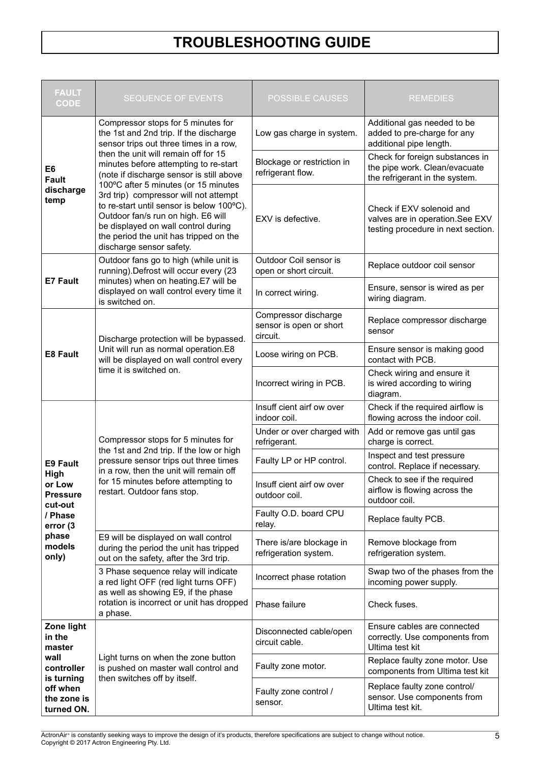| <b>FAULT</b><br><b>CODE</b>                                                                                                   | <b>SEQUENCE OF EVENTS</b>                                                                                                                                                                                                                | <b>POSSIBLE CAUSES</b>                                                 | <b>REMEDIES</b>                                                                                    |  |
|-------------------------------------------------------------------------------------------------------------------------------|------------------------------------------------------------------------------------------------------------------------------------------------------------------------------------------------------------------------------------------|------------------------------------------------------------------------|----------------------------------------------------------------------------------------------------|--|
|                                                                                                                               | Compressor stops for 5 minutes for<br>the 1st and 2nd trip. If the discharge<br>sensor trips out three times in a row,                                                                                                                   | Low gas charge in system.                                              | Additional gas needed to be<br>added to pre-charge for any<br>additional pipe length.              |  |
| E6<br><b>Fault</b>                                                                                                            | then the unit will remain off for 15<br>minutes before attempting to re-start<br>(note if discharge sensor is still above<br>100°C after 5 minutes (or 15 minutes                                                                        | Blockage or restriction in<br>refrigerant flow.                        | Check for foreign substances in<br>the pipe work. Clean/evacuate<br>the refrigerant in the system. |  |
| discharge<br>temp                                                                                                             | 3rd trip) compressor will not attempt<br>to re-start until sensor is below 100°C).<br>Outdoor fan/s run on high. E6 will<br>be displayed on wall control during<br>the period the unit has tripped on the<br>discharge sensor safety.    | EXV is defective.                                                      | Check if EXV solenoid and<br>valves are in operation.See EXV<br>testing procedure in next section. |  |
| <b>E7 Fault</b>                                                                                                               | Outdoor fans go to high (while unit is<br>running).Defrost will occur every (23<br>minutes) when on heating.E7 will be                                                                                                                   | Outdoor Coil sensor is<br>open or short circuit.                       | Replace outdoor coil sensor                                                                        |  |
|                                                                                                                               | displayed on wall control every time it<br>is switched on.                                                                                                                                                                               | In correct wiring.                                                     | Ensure, sensor is wired as per<br>wiring diagram.                                                  |  |
|                                                                                                                               | Discharge protection will be bypassed.                                                                                                                                                                                                   | Compressor discharge<br>sensor is open or short<br>circuit.            | Replace compressor discharge<br>sensor                                                             |  |
| Unit will run as normal operation.E8<br><b>E8 Fault</b><br>will be displayed on wall control every<br>time it is switched on. |                                                                                                                                                                                                                                          | Loose wiring on PCB.                                                   | Ensure sensor is making good<br>contact with PCB.                                                  |  |
|                                                                                                                               | Incorrect wiring in PCB.                                                                                                                                                                                                                 | Check wiring and ensure it<br>is wired according to wiring<br>diagram. |                                                                                                    |  |
| <b>E9 Fault</b><br>High<br>or Low<br><b>Pressure</b><br>cut-out                                                               |                                                                                                                                                                                                                                          | Insuff cient airf ow over<br>indoor coil.                              | Check if the required airflow is<br>flowing across the indoor coil.                                |  |
|                                                                                                                               | Compressor stops for 5 minutes for<br>the 1st and 2nd trip. If the low or high<br>pressure sensor trips out three times<br>in a row, then the unit will remain off<br>for 15 minutes before attempting to<br>restart. Outdoor fans stop. | Under or over charged with<br>refrigerant.                             | Add or remove gas until gas<br>charge is correct.                                                  |  |
|                                                                                                                               |                                                                                                                                                                                                                                          | Faulty LP or HP control.                                               | Inspect and test pressure<br>control. Replace if necessary.                                        |  |
|                                                                                                                               |                                                                                                                                                                                                                                          | Insuff cient airf ow over<br>outdoor coil.                             | Check to see if the required<br>airflow is flowing across the<br>outdoor coil.                     |  |
| / Phase<br>error (3                                                                                                           |                                                                                                                                                                                                                                          | Faulty O.D. board CPU<br>relay.                                        | Replace faulty PCB.                                                                                |  |
| phase<br>models<br>only)                                                                                                      | E9 will be displayed on wall control<br>during the period the unit has tripped<br>out on the safety, after the 3rd trip.                                                                                                                 | There is/are blockage in<br>refrigeration system.                      | Remove blockage from<br>refrigeration system.                                                      |  |
|                                                                                                                               | 3 Phase sequence relay will indicate<br>a red light OFF (red light turns OFF)                                                                                                                                                            | Incorrect phase rotation                                               | Swap two of the phases from the<br>incoming power supply.                                          |  |
|                                                                                                                               | as well as showing E9, if the phase<br>rotation is incorrect or unit has dropped<br>a phase.                                                                                                                                             | Phase failure                                                          | Check fuses.                                                                                       |  |
| Zone light<br>in the<br>master                                                                                                |                                                                                                                                                                                                                                          | Disconnected cable/open<br>circuit cable.                              | Ensure cables are connected<br>correctly. Use components from<br>Ultima test kit                   |  |
| wall<br>controller                                                                                                            | Light turns on when the zone button<br>is pushed on master wall control and                                                                                                                                                              | Faulty zone motor.                                                     | Replace faulty zone motor. Use<br>components from Ultima test kit                                  |  |
| is turning<br>off when<br>the zone is<br>turned ON.                                                                           | then switches off by itself.                                                                                                                                                                                                             | Faulty zone control /<br>sensor.                                       | Replace faulty zone control/<br>sensor. Use components from<br>Ultima test kit.                    |  |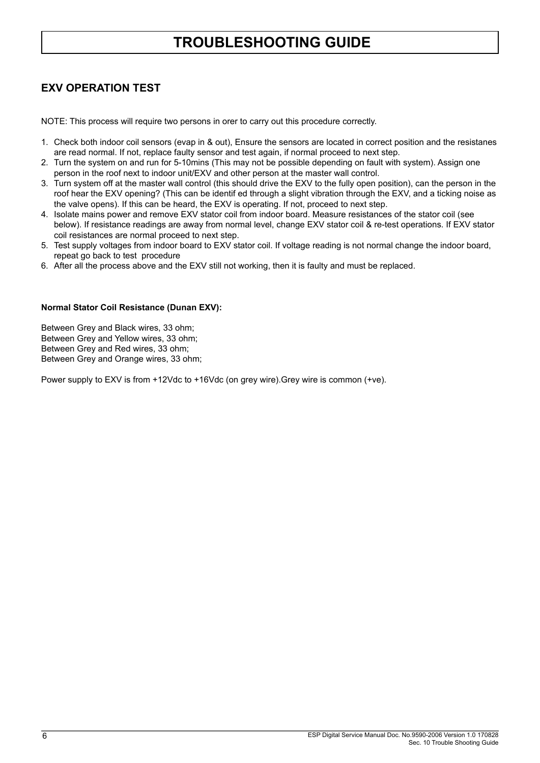#### **EXV OPERATION TEST**

NOTE: This process will require two persons in orer to carry out this procedure correctly.

- 1. Check both indoor coil sensors (evap in & out), Ensure the sensors are located in correct position and the resistanes are read normal. If not, replace faulty sensor and test again, if normal proceed to next step.
- 2. Turn the system on and run for 5-10mins (This may not be possible depending on fault with system). Assign one person in the roof next to indoor unit/EXV and other person at the master wall control.
- 3. Turn system off at the master wall control (this should drive the EXV to the fully open position), can the person in the roof hear the EXV opening? (This can be identif ed through a slight vibration through the EXV, and a ticking noise as the valve opens). If this can be heard, the EXV is operating. If not, proceed to next step.
- 4. Isolate mains power and remove EXV stator coil from indoor board. Measure resistances of the stator coil (see below). If resistance readings are away from normal level, change EXV stator coil & re-test operations. If EXV stator coil resistances are normal proceed to next step.
- 5. Test supply voltages from indoor board to EXV stator coil. If voltage reading is not normal change the indoor board, repeat go back to test procedure
- 6. After all the process above and the EXV still not working, then it is faulty and must be replaced.

#### **Normal Stator Coil Resistance (Dunan EXV):**

Between Grey and Black wires, 33 ohm; Between Grey and Yellow wires, 33 ohm; Between Grey and Red wires, 33 ohm; Between Grey and Orange wires, 33 ohm;

Power supply to EXV is from +12Vdc to +16Vdc (on grey wire).Grey wire is common (+ve).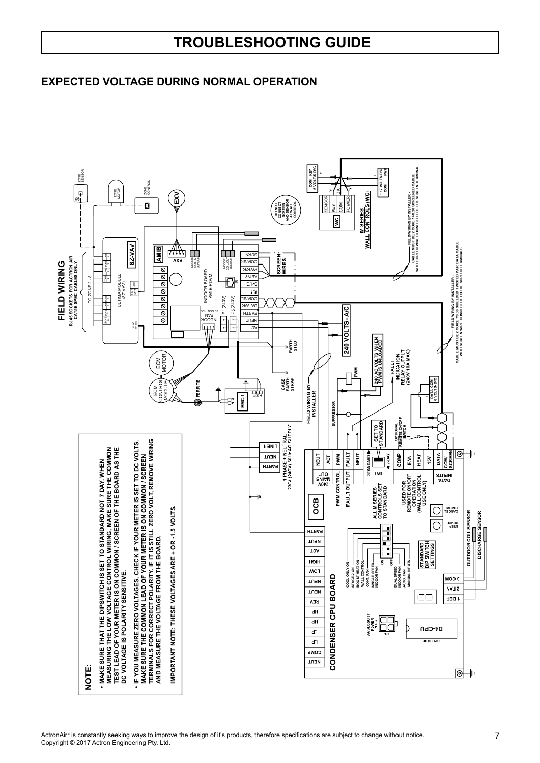#### **EXPECTED VOLTAGE DURING NORMAL OPERATION**

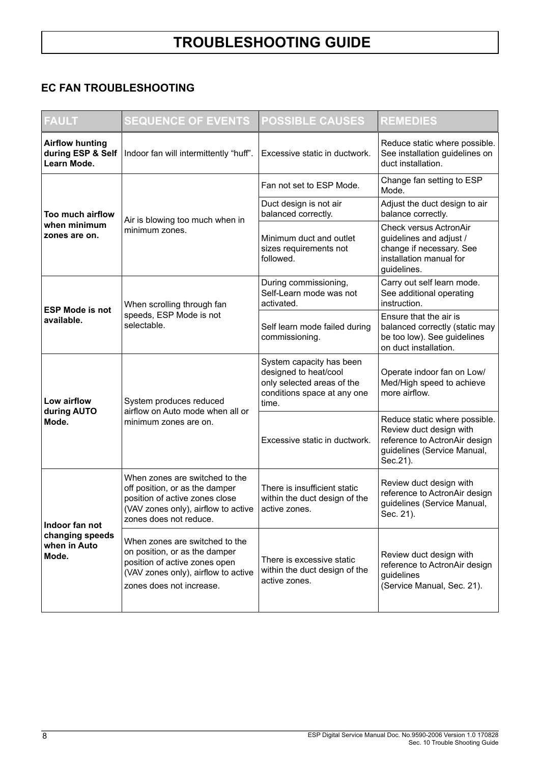### **EC FAN TROUBLESHOOTING**

| <b>FAULT</b>                                               | <b>SEQUENCE OF EVENTS</b>                                                                                                                                           | <b>POSSIBLE CAUSES</b>                                                                                                  | <b>REMEDIES</b>                                                                                                                      |
|------------------------------------------------------------|---------------------------------------------------------------------------------------------------------------------------------------------------------------------|-------------------------------------------------------------------------------------------------------------------------|--------------------------------------------------------------------------------------------------------------------------------------|
| <b>Airflow hunting</b><br>during ESP & Self<br>Learn Mode. | Indoor fan will intermittently "huff".                                                                                                                              | Excessive static in ductwork.                                                                                           | Reduce static where possible.<br>See installation guidelines on<br>duct installation.                                                |
|                                                            | Air is blowing too much when in<br>minimum zones.                                                                                                                   | Fan not set to ESP Mode.                                                                                                | Change fan setting to ESP<br>Mode.                                                                                                   |
| Too much airflow                                           |                                                                                                                                                                     | Duct design is not air<br>balanced correctly.                                                                           | Adjust the duct design to air<br>balance correctly.                                                                                  |
| when minimum<br>zones are on.                              |                                                                                                                                                                     | Minimum duct and outlet<br>sizes requirements not<br>followed.                                                          | <b>Check versus ActronAir</b><br>guidelines and adjust /<br>change if necessary. See<br>installation manual for<br>guidelines.       |
|                                                            | When scrolling through fan<br>speeds, ESP Mode is not<br>selectable.                                                                                                | During commissioning,<br>Self-Learn mode was not<br>activated.                                                          | Carry out self learn mode.<br>See additional operating<br>instruction.                                                               |
| <b>ESP Mode is not</b><br>available.                       |                                                                                                                                                                     | Self learn mode failed during<br>commissioning.                                                                         | Ensure that the air is<br>balanced correctly (static may<br>be too low). See guidelines<br>on duct installation.                     |
| Low airflow<br>during AUTO<br>Mode.                        | System produces reduced<br>airflow on Auto mode when all or<br>minimum zones are on.                                                                                | System capacity has been<br>designed to heat/cool<br>only selected areas of the<br>conditions space at any one<br>time. | Operate indoor fan on Low/<br>Med/High speed to achieve<br>more airflow.                                                             |
|                                                            |                                                                                                                                                                     | Excessive static in ductwork.                                                                                           | Reduce static where possible.<br>Review duct design with<br>reference to ActronAir design<br>guidelines (Service Manual,<br>Sec.21). |
| Indoor fan not<br>changing speeds<br>when in Auto<br>Mode. | When zones are switched to the<br>off position, or as the damper<br>position of active zones close<br>(VAV zones only), airflow to active<br>zones does not reduce. | There is insufficient static<br>within the duct design of the<br>active zones.                                          | Review duct design with<br>reference to ActronAir design<br>guidelines (Service Manual,<br>Sec. 21).                                 |
|                                                            | When zones are switched to the<br>on position, or as the damper<br>position of active zones open<br>(VAV zones only), airflow to active<br>zones does not increase. | There is excessive static<br>within the duct design of the<br>active zones.                                             | Review duct design with<br>reference to ActronAir design<br>guidelines<br>(Service Manual, Sec. 21).                                 |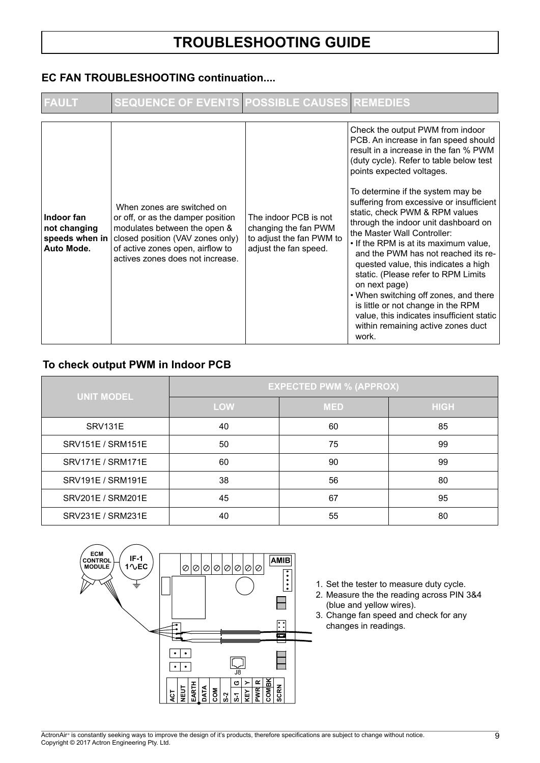#### **EC FAN TROUBLESHOOTING continuation....**

| <b>FAULT</b>                                               | <b>SEQUENCE OF EVENTS POSSIBLE CAUSES REMEDIES</b>                                                                                                                                                          |                                                                                                    |                                                                                                                                                                                                                                                                                                                                                                                                                                                                                                                                                                                                                                                                                                                                                |
|------------------------------------------------------------|-------------------------------------------------------------------------------------------------------------------------------------------------------------------------------------------------------------|----------------------------------------------------------------------------------------------------|------------------------------------------------------------------------------------------------------------------------------------------------------------------------------------------------------------------------------------------------------------------------------------------------------------------------------------------------------------------------------------------------------------------------------------------------------------------------------------------------------------------------------------------------------------------------------------------------------------------------------------------------------------------------------------------------------------------------------------------------|
| Indoor fan<br>not changing<br>speeds when in<br>Auto Mode. | When zones are switched on<br>or off, or as the damper position<br>modulates between the open &<br>closed position (VAV zones only)<br>of active zones open, airflow to<br>actives zones does not increase. | The indoor PCB is not<br>changing the fan PWM<br>to adjust the fan PWM to<br>adjust the fan speed. | Check the output PWM from indoor<br>PCB. An increase in fan speed should<br>result in a increase in the fan % PWM<br>(duty cycle). Refer to table below test<br>points expected voltages.<br>To determine if the system may be<br>suffering from excessive or insufficient<br>static, check PWM & RPM values<br>through the indoor unit dashboard on<br>the Master Wall Controller:<br>• If the RPM is at its maximum value,<br>and the PWM has not reached its re-<br>quested value, this indicates a high<br>static. (Please refer to RPM Limits<br>on next page)<br>• When switching off zones, and there<br>is little or not change in the RPM<br>value, this indicates insufficient static<br>within remaining active zones duct<br>work. |

#### **To check output PWM in Indoor PCB**

|                   | <b>EXPECTED PWM % (APPROX)</b> |            |             |  |
|-------------------|--------------------------------|------------|-------------|--|
| <b>UNIT MODEL</b> | <b>LOW</b>                     | <b>MED</b> | <b>HIGH</b> |  |
| SRV131E           | 40                             | 60         | 85          |  |
| SRV151E / SRM151E | 50                             | 75         | 99          |  |
| SRV171E / SRM171E | 60                             | 90         | 99          |  |
| SRV191E / SRM191E | 38                             | 56         | 80          |  |
| SRV201E / SRM201E | 45                             | 67         | 95          |  |
| SRV231E / SRM231E | 40                             | 55         | 80          |  |



- 1. Set the tester to measure duty cycle.
- 2. Measure the the reading across PIN 3&4 (blue and yellow wires).
- 3. Change fan speed and check for any changes in readings.